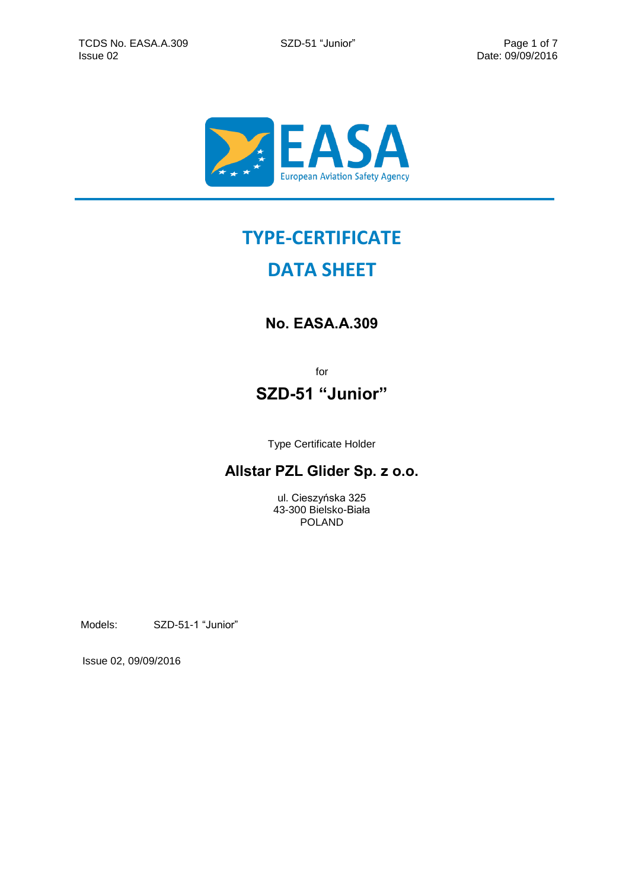

# **TYPE-CERTIFICATE**

# **DATA SHEET**

# **No. EASA.A.309**

for

# **SZD-51 "Junior"**

Type Certificate Holder

## **Allstar PZL Glider Sp. z o.o.**

ul. Cieszyńska 325 43-300 Bielsko-Biała POLAND

Models: SZD-51-1 "Junior"

Issue 02, 09/09/2016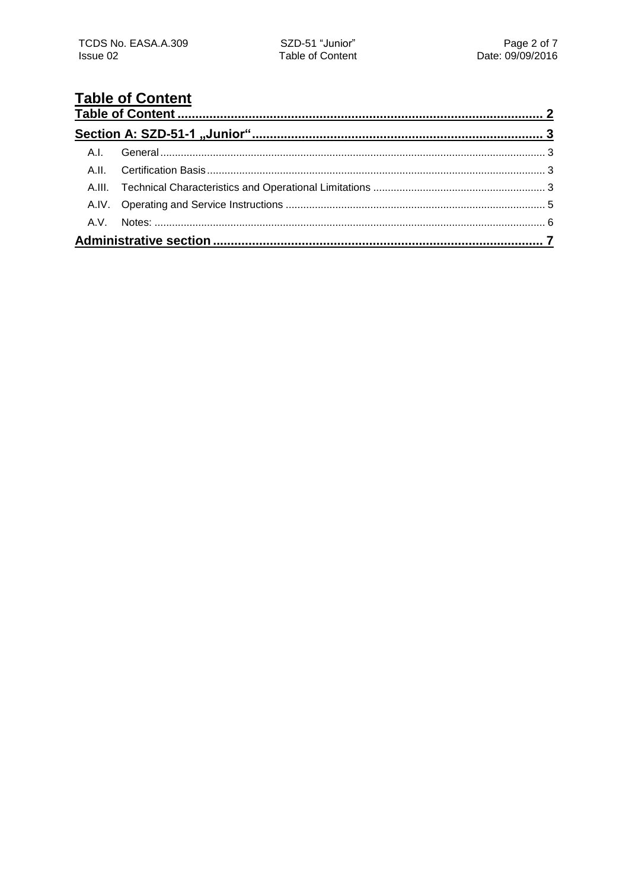# <span id="page-1-0"></span>**Table of Content**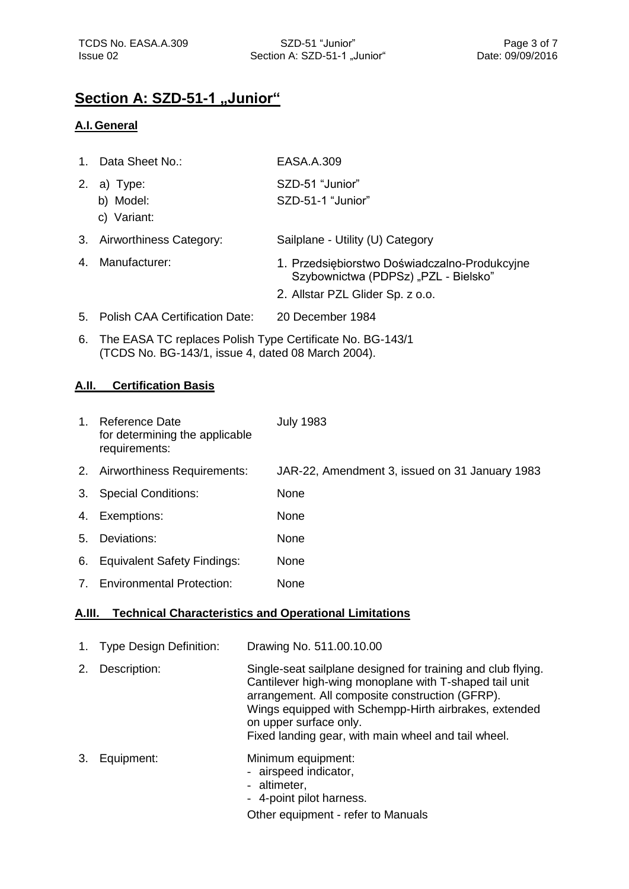### <span id="page-2-0"></span>**Section A: SZD-51-1 "Junior"**

#### <span id="page-2-1"></span>**A.I.General**

| $\mathbf{1}$ . | Data Sheet No.:                       | EASA.A.309                                                                                                                |
|----------------|---------------------------------------|---------------------------------------------------------------------------------------------------------------------------|
| 2.             | a) Type:<br>b) Model:<br>c) Variant:  | SZD-51 "Junior"<br>SZD-51-1 "Junior"                                                                                      |
| 3.             | Airworthiness Category:               | Sailplane - Utility (U) Category                                                                                          |
| 4.             | Manufacturer:                         | 1. Przedsiębiorstwo Doświadczalno-Produkcyjne<br>Szybownictwa (PDPSz) "PZL - Bielsko"<br>2. Allstar PZL Glider Sp. z o.o. |
| 5.             | <b>Polish CAA Certification Date:</b> | 20 December 1984                                                                                                          |

6. The EASA TC replaces Polish Type Certificate No. BG-143/1 (TCDS No. BG-143/1, issue 4, dated 08 March 2004).

#### <span id="page-2-2"></span>**A.II. Certification Basis**

| $\mathbf{1}$ . | Reference Date<br>for determining the applicable<br>requirements: | <b>July 1983</b>                               |
|----------------|-------------------------------------------------------------------|------------------------------------------------|
| 2.             | Airworthiness Requirements:                                       | JAR-22, Amendment 3, issued on 31 January 1983 |
| 3.             | <b>Special Conditions:</b>                                        | None                                           |
| 4.             | Exemptions:                                                       | None                                           |
| 5.             | Deviations:                                                       | None                                           |
| 6.             | <b>Equivalent Safety Findings:</b>                                | None                                           |
| 7 <sup>1</sup> | <b>Environmental Protection:</b>                                  | <b>None</b>                                    |
|                |                                                                   |                                                |

#### <span id="page-2-3"></span>**A.III. Technical Characteristics and Operational Limitations**

| <b>Type Design Definition:</b> | Drawing No. 511.00.10.00 |
|--------------------------------|--------------------------|
|--------------------------------|--------------------------|

- 2. Description: Single-seat sailplane designed for training and club flying. Cantilever high-wing monoplane with T-shaped tail unit arrangement. All composite construction (GFRP). Wings equipped with Schempp-Hirth airbrakes, extended on upper surface only. Fixed landing gear, with main wheel and tail wheel.
- 3. Equipment: Minimum equipment:

- airspeed indicator,
- altimeter,
- 4-point pilot harness.

Other equipment - refer to Manuals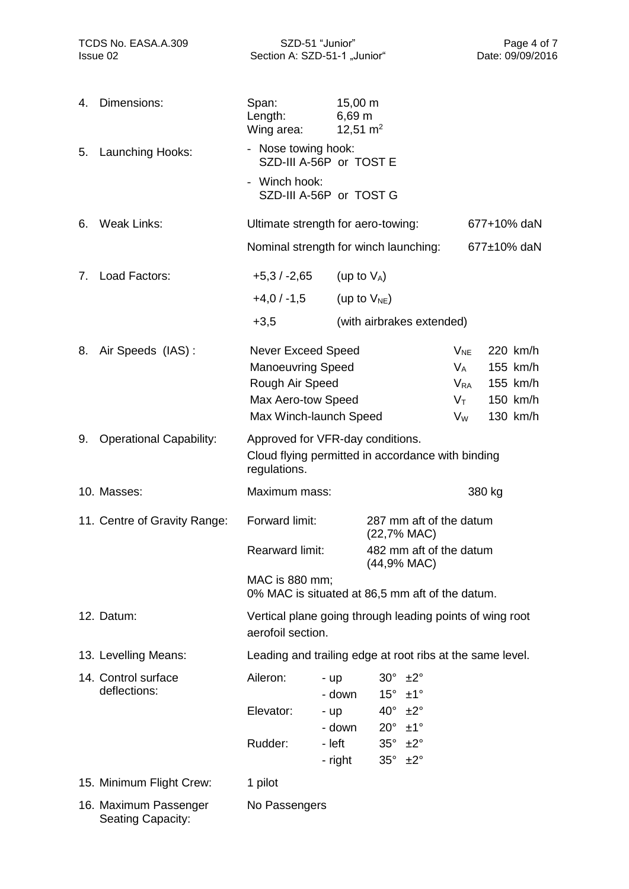| TCDS No. EASA.A.309<br>Issue 02 |                                            | SZD-51 "Junior"<br>Section A: SZD-51-1 "Junior"                                                                          |                                      |                                                           | Page 4 of 7<br>Date: 09/09/2016                            |                                                          |
|---------------------------------|--------------------------------------------|--------------------------------------------------------------------------------------------------------------------------|--------------------------------------|-----------------------------------------------------------|------------------------------------------------------------|----------------------------------------------------------|
| 4.                              | Dimensions:                                | Span:<br>Length:<br>Wing area:                                                                                           | $15,00 \; m$<br>6,69 m<br>12,51 $m2$ |                                                           |                                                            |                                                          |
| 5.                              | Launching Hooks:                           | - Nose towing hook:<br>SZD-III A-56P or TOST E                                                                           |                                      |                                                           |                                                            |                                                          |
|                                 |                                            | - Winch hook:<br>SZD-III A-56P or TOST G                                                                                 |                                      |                                                           |                                                            |                                                          |
| 6.                              | <b>Weak Links:</b>                         | Ultimate strength for aero-towing:                                                                                       |                                      |                                                           |                                                            | 677+10% daN                                              |
|                                 |                                            |                                                                                                                          |                                      | Nominal strength for winch launching:                     |                                                            | 677±10% daN                                              |
| 7.                              | Load Factors:                              | +5,3 / -2,65                                                                                                             | (up to $V_A$ )                       |                                                           |                                                            |                                                          |
|                                 |                                            | $+4,0/ -1,5$                                                                                                             |                                      | (up to $V_{NE}$ )                                         |                                                            |                                                          |
|                                 |                                            | $+3,5$                                                                                                                   |                                      | (with airbrakes extended)                                 |                                                            |                                                          |
| 8.                              | Air Speeds (IAS):                          | <b>Never Exceed Speed</b><br><b>Manoeuvring Speed</b><br>Rough Air Speed<br>Max Aero-tow Speed<br>Max Winch-launch Speed |                                      |                                                           | $V_{NE}$<br>$V_A$<br>$V_{RA}$<br>$V_{\mathsf{T}}$<br>$V_W$ | 220 km/h<br>155 km/h<br>155 km/h<br>150 km/h<br>130 km/h |
| 9.                              | <b>Operational Capability:</b>             | Approved for VFR-day conditions.<br>Cloud flying permitted in accordance with binding<br>regulations.                    |                                      |                                                           |                                                            |                                                          |
|                                 | 10. Masses:                                | Maximum mass:                                                                                                            |                                      |                                                           |                                                            | 380 kg                                                   |
|                                 | 11. Centre of Gravity Range:               | Forward limit:                                                                                                           |                                      | 287 mm aft of the datum<br>(22,7% MAC)                    |                                                            |                                                          |
|                                 |                                            | <b>Rearward limit:</b>                                                                                                   |                                      | 482 mm aft of the datum<br>(44,9% MAC)                    |                                                            |                                                          |
|                                 |                                            | MAC is 880 mm;                                                                                                           |                                      | 0% MAC is situated at 86,5 mm aft of the datum.           |                                                            |                                                          |
|                                 | 12. Datum:                                 | aerofoil section.                                                                                                        |                                      | Vertical plane going through leading points of wing root  |                                                            |                                                          |
|                                 | 13. Levelling Means:                       |                                                                                                                          |                                      | Leading and trailing edge at root ribs at the same level. |                                                            |                                                          |
|                                 | 14. Control surface<br>deflections:        | Aileron:                                                                                                                 | - up<br>- down                       | $30^\circ$<br>±2°<br>$15^\circ \pm 1^\circ$               |                                                            |                                                          |
|                                 |                                            | Elevator:                                                                                                                | - up<br>- down                       | $40^\circ \pm 2^\circ$<br>$20^{\circ}$<br>$±1^{\circ}$    |                                                            |                                                          |
|                                 |                                            | Rudder:                                                                                                                  | - left<br>- right                    | $35^\circ \pm 2^\circ$<br>$35^\circ \pm 2^\circ$          |                                                            |                                                          |
|                                 | 15. Minimum Flight Crew:                   | 1 pilot                                                                                                                  |                                      |                                                           |                                                            |                                                          |
|                                 | 16. Maximum Passenger<br>Seating Capacity: | No Passengers                                                                                                            |                                      |                                                           |                                                            |                                                          |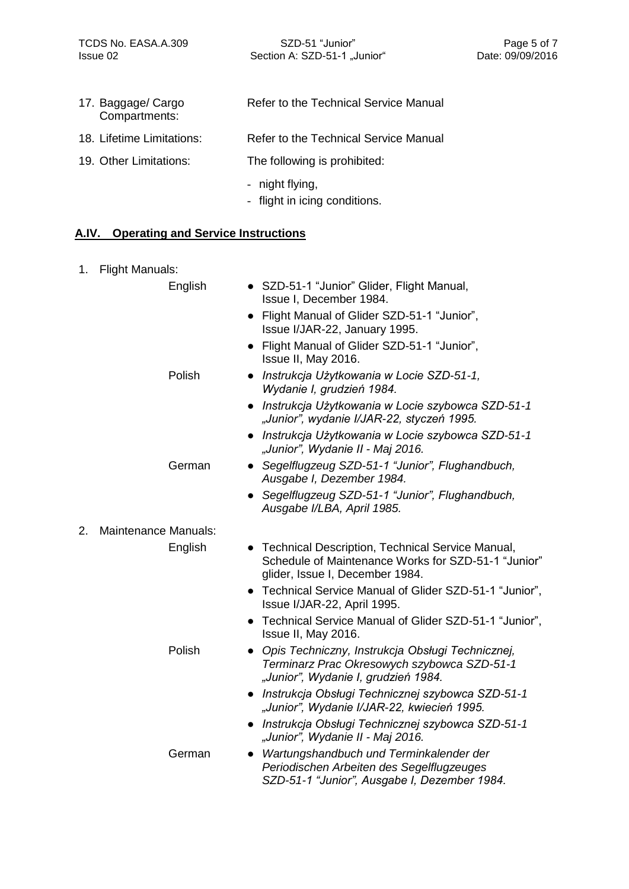Issue 02 **Date: 09/09/2016** Section A: SZD-51-1 "Junior" Date: 09/09/2016

| 17. Baggage/ Cargo<br>Compartments: | Refer to the Technical Service Manual |
|-------------------------------------|---------------------------------------|
| 18. Lifetime Limitations:           | Refer to the Technical Service Manual |
| 19. Other Limitations:              | The following is prohibited:          |

- night flying,
- flight in icing conditions.

### <span id="page-4-0"></span>**A.IV. Operating and Service Instructions**

| 1. | <b>Flight Manuals:</b>      |                                                                                                                                              |
|----|-----------------------------|----------------------------------------------------------------------------------------------------------------------------------------------|
|    | English                     | • SZD-51-1 "Junior" Glider, Flight Manual,<br>Issue I, December 1984.                                                                        |
|    |                             | Flight Manual of Glider SZD-51-1 "Junior",<br>$\bullet$<br>Issue I/JAR-22, January 1995.                                                     |
|    |                             | Flight Manual of Glider SZD-51-1 "Junior",<br>Issue II, May 2016.                                                                            |
|    | Polish                      | Instrukcja Użytkowania w Locie SZD-51-1,<br>Wydanie I, grudzień 1984.                                                                        |
|    |                             | Instrukcja Użytkowania w Locie szybowca SZD-51-1<br>"Junior", wydanie I/JAR-22, styczeń 1995.                                                |
|    |                             | Instrukcja Użytkowania w Locie szybowca SZD-51-1<br>"Junior", Wydanie II - Maj 2016.                                                         |
|    | German                      | Segelflugzeug SZD-51-1 "Junior", Flughandbuch,<br>$\bullet$<br>Ausgabe I, Dezember 1984.                                                     |
|    |                             | Segelflugzeug SZD-51-1 "Junior", Flughandbuch,<br>Ausgabe I/LBA, April 1985.                                                                 |
| 2. | <b>Maintenance Manuals:</b> |                                                                                                                                              |
|    | English                     | • Technical Description, Technical Service Manual,<br>Schedule of Maintenance Works for SZD-51-1 "Junior"<br>glider, Issue I, December 1984. |
|    |                             | • Technical Service Manual of Glider SZD-51-1 "Junior",<br>Issue I/JAR-22, April 1995.                                                       |
|    |                             | Technical Service Manual of Glider SZD-51-1 "Junior",<br>Issue II, May 2016.                                                                 |
|    | Polish                      | Opis Techniczny, Instrukcja Obsługi Technicznej,<br>Terminarz Prac Okresowych szybowca SZD-51-1<br>"Junior", Wydanie I, grudzień 1984.       |
|    |                             | Instrukcja Obsługi Technicznej szybowca SZD-51-1<br>$\bullet$<br>"Junior", Wydanie I/JAR-22, kwiecień 1995.                                  |
|    |                             | • Instrukcja Obsługi Technicznej szybowca SZD-51-1<br>"Junior", Wydanie II - Maj 2016.                                                       |
|    | German                      | Wartungshandbuch und Terminkalender der<br>Periodischen Arbeiten des Segelflugzeuges<br>SZD-51-1 "Junior", Ausgabe I, Dezember 1984.         |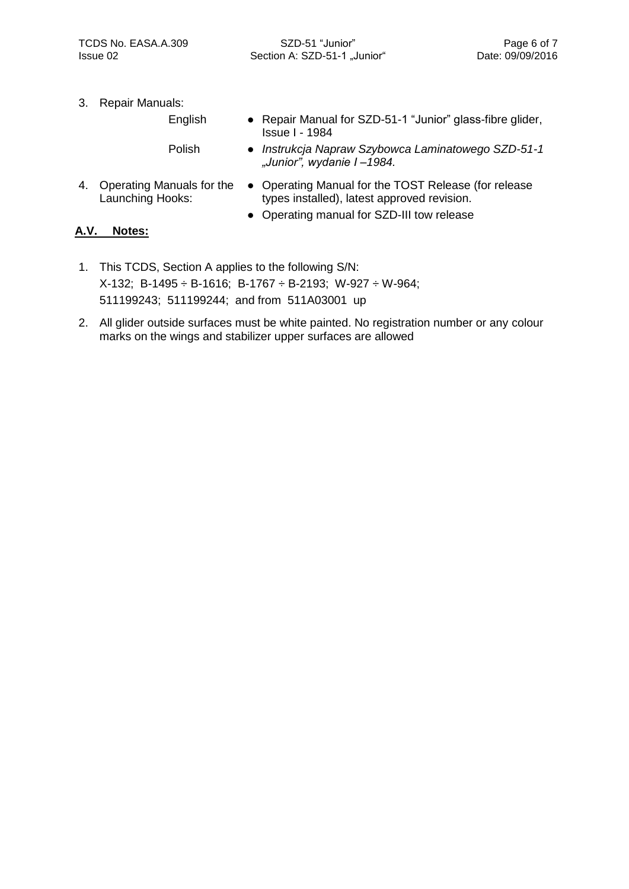3. Repair Manuals:

English

Polish

- Repair Manual for SZD-51-1 "Junior" glass-fibre glider, Issue I - 1984
- *Instrukcja Napraw Szybowca Laminatowego SZD-51-1 "Junior", wydanie I –1984.*
- 4. Operating Manuals for the Launching Hooks:
- Operating Manual for the TOST Release (for release types installed), latest approved revision.
- Operating manual for SZD-III tow release

#### <span id="page-5-0"></span>**A.V. Notes:**

- 1. This TCDS, Section A applies to the following S/N: X-132; B-1495 ÷ B-1616; B-1767 ÷ B-2193; W-927 ÷ W-964; 511199243; 511199244; and from 511A03001 up
- <span id="page-5-1"></span>2. All glider outside surfaces must be white painted. No registration number or any colour marks on the wings and stabilizer upper surfaces are allowed